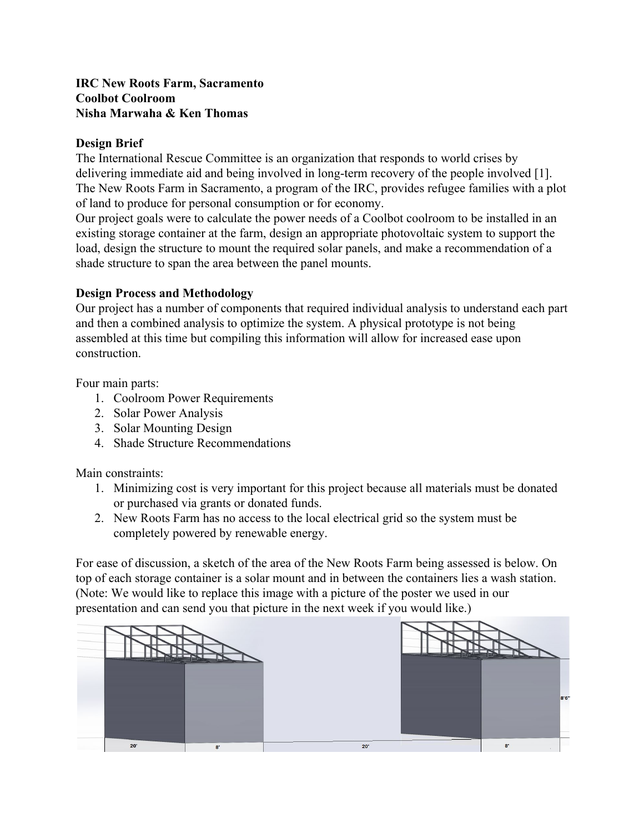### **IRC New Roots Farm, Sacramento Coolbot Coolroom Nisha Marwaha & Ken Thomas**

## **Design Brief**

The International Rescue Committee is an organization that responds to world crises by delivering immediate aid and being involved in long-term recovery of the people involved [1]. The New Roots Farm in Sacramento, a program of the IRC, provides refugee families with a plot of land to produce for personal consumption or for economy.

Our project goals were to calculate the power needs of a Coolbot coolroom to be installed in an existing storage container at the farm, design an appropriate photovoltaic system to support the load, design the structure to mount the required solar panels, and make a recommendation of a shade structure to span the area between the panel mounts.

#### **Design Process and Methodology**

Our project has a number of components that required individual analysis to understand each part and then a combined analysis to optimize the system. A physical prototype is not being assembled at this time but compiling this information will allow for increased ease upon construction.

Four main parts:

- 1. Coolroom Power Requirements
- 2. Solar Power Analysis
- 3. Solar Mounting Design
- 4. Shade Structure Recommendations

Main constraints:

- 1. Minimizing cost is very important for this project because all materials must be donated or purchased via grants or donated funds.
- 2. New Roots Farm has no access to the local electrical grid so the system must be completely powered by renewable energy.

For ease of discussion, a sketch of the area of the New Roots Farm being assessed is below. On top of each storage container is a solar mount and in between the containers lies a wash station. (Note: We would like to replace this image with a picture of the poster we used in our presentation and can send you that picture in the next week if you would like.)

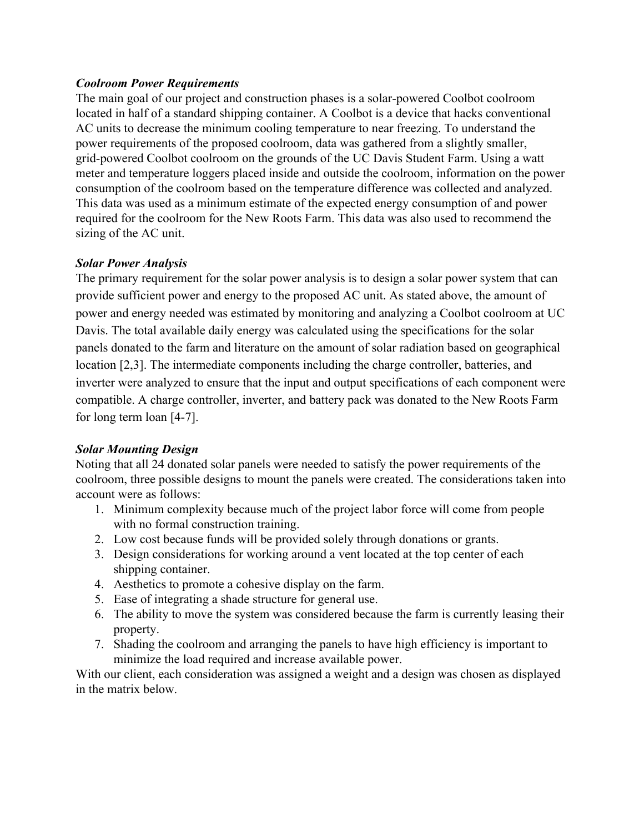# *Coolroom Power Requirements*

The main goal of our project and construction phases is a solar-powered Coolbot coolroom located in half of a standard shipping container. A Coolbot is a device that hacks conventional AC units to decrease the minimum cooling temperature to near freezing. To understand the power requirements of the proposed coolroom, data was gathered from a slightly smaller, grid-powered Coolbot coolroom on the grounds of the UC Davis Student Farm. Using a watt meter and temperature loggers placed inside and outside the coolroom, information on the power consumption of the coolroom based on the temperature difference was collected and analyzed. This data was used as a minimum estimate of the expected energy consumption of and power required for the coolroom for the New Roots Farm. This data was also used to recommend the sizing of the AC unit.

#### *Solar Power Analysis*

The primary requirement for the solar power analysis is to design a solar power system that can provide sufficient power and energy to the proposed AC unit. As stated above, the amount of power and energy needed was estimated by monitoring and analyzing a Coolbot coolroom at UC Davis. The total available daily energy was calculated using the specifications for the solar panels donated to the farm and literature on the amount of solar radiation based on geographical location [2,3]. The intermediate components including the charge controller, batteries, and inverter were analyzed to ensure that the input and output specifications of each component were compatible. A charge controller, inverter, and battery pack was donated to the New Roots Farm for long term loan [4-7].

# *Solar Mounting Design*

Noting that all 24 donated solar panels were needed to satisfy the power requirements of the coolroom, three possible designs to mount the panels were created. The considerations taken into account were as follows:

- 1. Minimum complexity because much of the project labor force will come from people with no formal construction training.
- 2. Low cost because funds will be provided solely through donations or grants.
- 3. Design considerations for working around a vent located at the top center of each shipping container.
- 4. Aesthetics to promote a cohesive display on the farm.
- 5. Ease of integrating a shade structure for general use.
- 6. The ability to move the system was considered because the farm is currently leasing their property.
- 7. Shading the coolroom and arranging the panels to have high efficiency is important to minimize the load required and increase available power.

With our client, each consideration was assigned a weight and a design was chosen as displayed in the matrix below.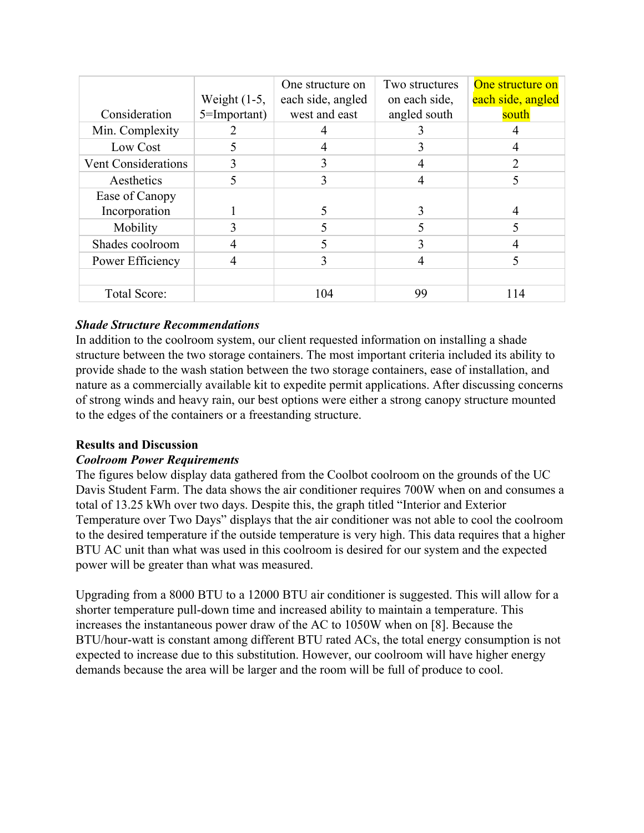|                     | Weight $(1-5,$ | One structure on<br>each side, angled | Two structures<br>on each side, | One structure on<br>each side, angled |
|---------------------|----------------|---------------------------------------|---------------------------------|---------------------------------------|
| Consideration       | 5=Important)   | west and east                         | angled south                    | south                                 |
| Min. Complexity     |                |                                       |                                 |                                       |
| Low Cost            | 5              |                                       |                                 |                                       |
| Vent Considerations |                |                                       |                                 |                                       |
| Aesthetics          |                | 3                                     |                                 |                                       |
| Ease of Canopy      |                |                                       |                                 |                                       |
| Incorporation       |                |                                       |                                 |                                       |
| Mobility            |                |                                       |                                 |                                       |
| Shades coolroom     |                |                                       |                                 |                                       |
| Power Efficiency    |                |                                       | 4                               |                                       |
|                     |                |                                       |                                 |                                       |
| Total Score:        |                | 104                                   | 99                              | 114                                   |

# *Shade Structure Recommendations*

In addition to the coolroom system, our client requested information on installing a shade structure between the two storage containers. The most important criteria included its ability to provide shade to the wash station between the two storage containers, ease of installation, and nature as a commercially available kit to expedite permit applications. After discussing concerns of strong winds and heavy rain, our best options were either a strong canopy structure mounted to the edges of the containers or a freestanding structure.

# **Results and Discussion**

# *Coolroom Power Requirements*

The figures below display data gathered from the Coolbot coolroom on the grounds of the UC Davis Student Farm. The data shows the air conditioner requires 700W when on and consumes a total of 13.25 kWh over two days. Despite this, the graph titled "Interior and Exterior Temperature over Two Days" displays that the air conditioner was not able to cool the coolroom to the desired temperature if the outside temperature is very high. This data requires that a higher BTU AC unit than what was used in this coolroom is desired for our system and the expected power will be greater than what was measured.

Upgrading from a 8000 BTU to a 12000 BTU air conditioner is suggested. This will allow for a shorter temperature pull-down time and increased ability to maintain a temperature. This increases the instantaneous power draw of the AC to 1050W when on [8]. Because the BTU/hour-watt is constant among different BTU rated ACs, the total energy consumption is not expected to increase due to this substitution. However, our coolroom will have higher energy demands because the area will be larger and the room will be full of produce to cool.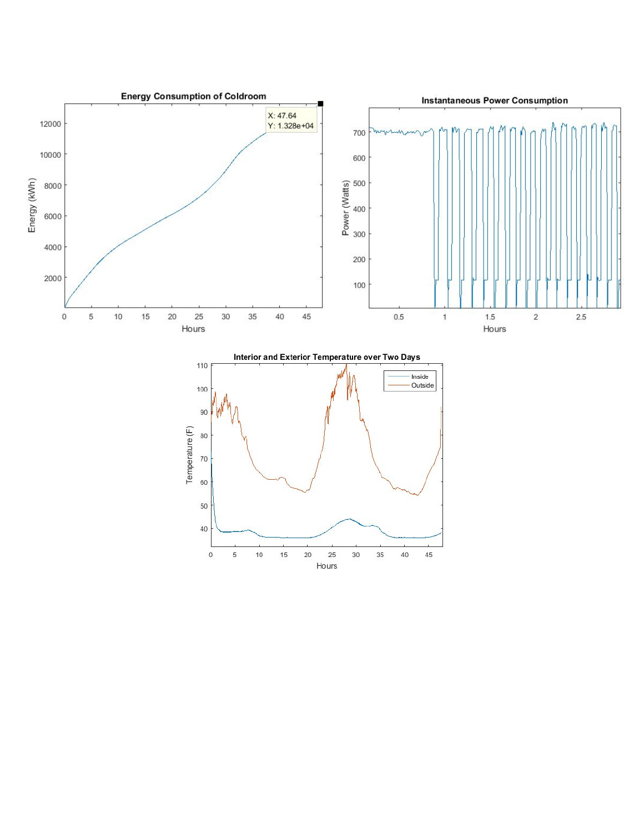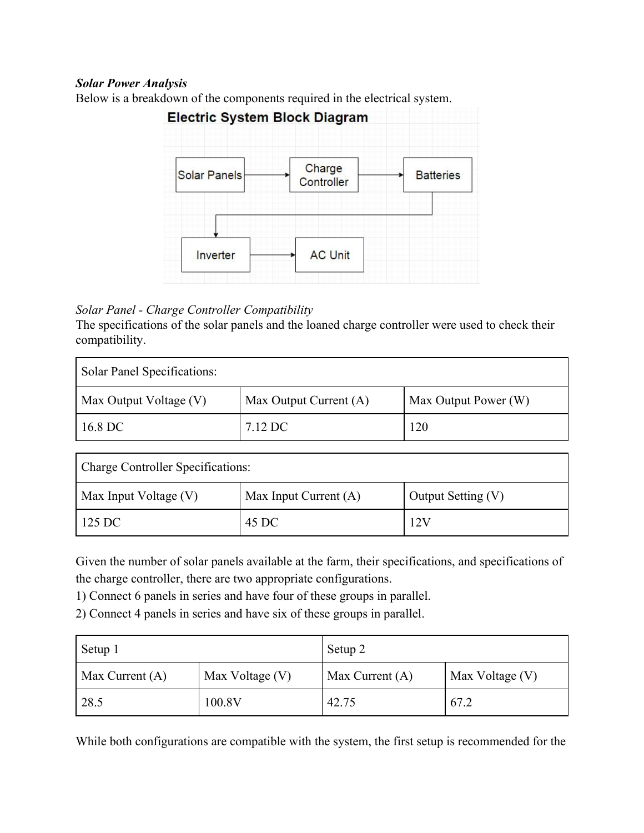### *Solar Power Analysis*



Below is a breakdown of the components required in the electrical system.

# *Solar Panel - Charge Controller Compatibility*

The specifications of the solar panels and the loaned charge controller were used to check their compatibility.

| Solar Panel Specifications: |                        |                      |  |
|-----------------------------|------------------------|----------------------|--|
| Max Output Voltage (V)      | Max Output Current (A) | Max Output Power (W) |  |
| 16.8 DC                     | 7.12 DC                | 120                  |  |

| <b>Charge Controller Specifications:</b> |                       |                    |  |
|------------------------------------------|-----------------------|--------------------|--|
| Max Input Voltage (V)                    | Max Input Current (A) | Output Setting (V) |  |
| 125 DC                                   | 45 DC                 | 12V                |  |

Given the number of solar panels available at the farm, their specifications, and specifications of the charge controller, there are two appropriate configurations.

1) Connect 6 panels in series and have four of these groups in parallel.

2) Connect 4 panels in series and have six of these groups in parallel.

| Setup 1           |                 | Setup 2           |                 |  |
|-------------------|-----------------|-------------------|-----------------|--|
| Max Current $(A)$ | Max Voltage (V) | Max Current $(A)$ | Max Voltage (V) |  |
| 28.5              | 100.8V          | 42.75             | 67.2            |  |

While both configurations are compatible with the system, the first setup is recommended for the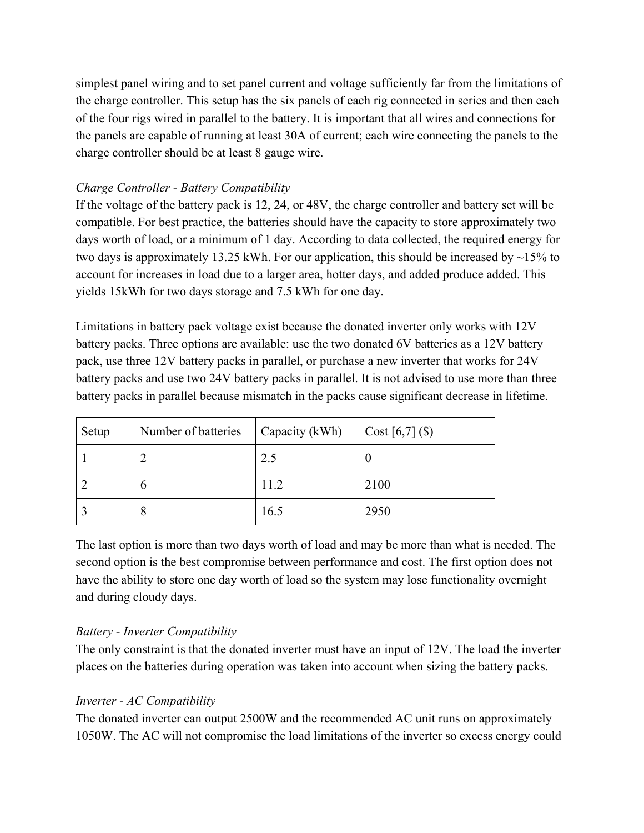simplest panel wiring and to set panel current and voltage sufficiently far from the limitations of the charge controller. This setup has the six panels of each rig connected in series and then each of the four rigs wired in parallel to the battery. It is important that all wires and connections for the panels are capable of running at least 30A of current; each wire connecting the panels to the charge controller should be at least 8 gauge wire.

# *Charge Controller - Battery Compatibility*

If the voltage of the battery pack is 12, 24, or 48V, the charge controller and battery set will be compatible. For best practice, the batteries should have the capacity to store approximately two days worth of load, or a minimum of 1 day. According to data collected, the required energy for two days is approximately 13.25 kWh. For our application, this should be increased by ~15% to account for increases in load due to a larger area, hotter days, and added produce added. This yields 15kWh for two days storage and 7.5 kWh for one day.

Limitations in battery pack voltage exist because the donated inverter only works with 12V battery packs. Three options are available: use the two donated 6V batteries as a 12V battery pack, use three 12V battery packs in parallel, or purchase a new inverter that works for 24V battery packs and use two 24V battery packs in parallel. It is not advised to use more than three battery packs in parallel because mismatch in the packs cause significant decrease in lifetime.

| Setup | Number of batteries | Capacity (kWh) | $\vert$ Cost [6,7] (\$) |
|-------|---------------------|----------------|-------------------------|
|       |                     | 2.5            |                         |
|       | O                   | 11.2           | 2100                    |
|       | 8                   | 16.5           | 2950                    |

The last option is more than two days worth of load and may be more than what is needed. The second option is the best compromise between performance and cost. The first option does not have the ability to store one day worth of load so the system may lose functionality overnight and during cloudy days.

# *Battery - Inverter Compatibility*

The only constraint is that the donated inverter must have an input of 12V. The load the inverter places on the batteries during operation was taken into account when sizing the battery packs.

# *Inverter - AC Compatibility*

The donated inverter can output 2500W and the recommended AC unit runs on approximately 1050W. The AC will not compromise the load limitations of the inverter so excess energy could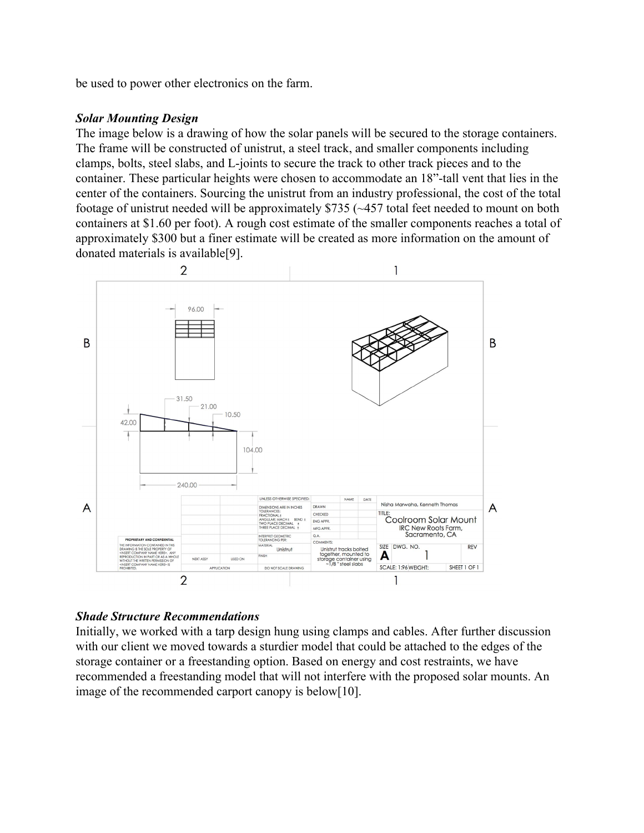be used to power other electronics on the farm.

#### *Solar Mounting Design*

The image below is a drawing of how the solar panels will be secured to the storage containers. The frame will be constructed of unistrut, a steel track, and smaller components including clamps, bolts, steel slabs, and L-joints to secure the track to other track pieces and to the container. These particular heights were chosen to accommodate an 18"-tall vent that lies in the center of the containers. Sourcing the unistrut from an industry professional, the cost of the total footage of unistrut needed will be approximately \$735 (~457 total feet needed to mount on both containers at \$1.60 per foot). A rough cost estimate of the smaller components reaches a total of approximately \$300 but a finer estimate will be created as more information on the amount of donated materials is available[9].



#### *Shade Structure Recommendations*

Initially, we worked with a tarp design hung using clamps and cables. After further discussion with our client we moved towards a sturdier model that could be attached to the edges of the storage container or a freestanding option. Based on energy and cost restraints, we have recommended a freestanding model that will not interfere with the proposed solar mounts. An image of the recommended carport canopy is below[10].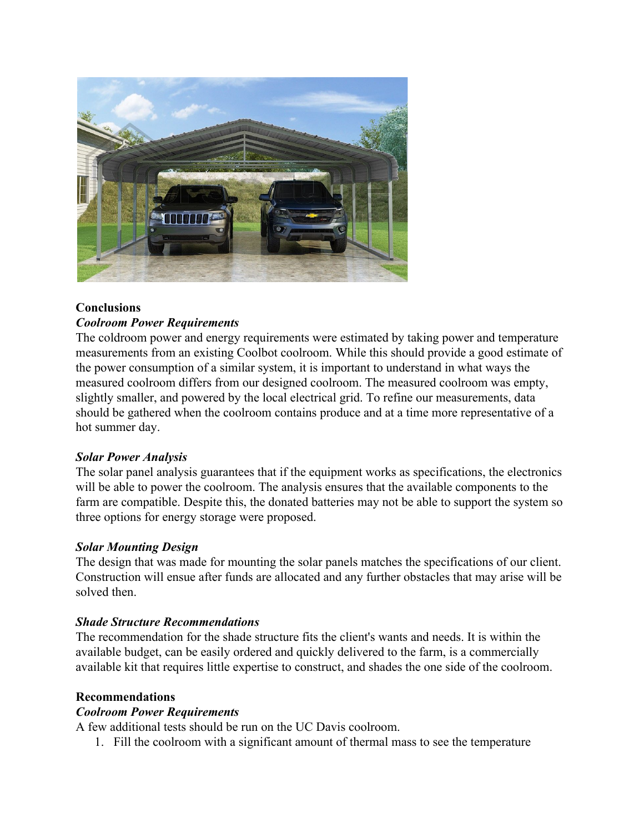

# **Conclusions** *Coolroom Power Requirements*

The coldroom power and energy requirements were estimated by taking power and temperature measurements from an existing Coolbot coolroom. While this should provide a good estimate of the power consumption of a similar system, it is important to understand in what ways the measured coolroom differs from our designed coolroom. The measured coolroom was empty, slightly smaller, and powered by the local electrical grid. To refine our measurements, data should be gathered when the coolroom contains produce and at a time more representative of a hot summer day.

# *Solar Power Analysis*

The solar panel analysis guarantees that if the equipment works as specifications, the electronics will be able to power the coolroom. The analysis ensures that the available components to the farm are compatible. Despite this, the donated batteries may not be able to support the system so three options for energy storage were proposed.

# *Solar Mounting Design*

The design that was made for mounting the solar panels matches the specifications of our client. Construction will ensue after funds are allocated and any further obstacles that may arise will be solved then.

# *Shade Structure Recommendations*

The recommendation for the shade structure fits the client's wants and needs. It is within the available budget, can be easily ordered and quickly delivered to the farm, is a commercially available kit that requires little expertise to construct, and shades the one side of the coolroom.

# **Recommendations**

# *Coolroom Power Requirements*

A few additional tests should be run on the UC Davis coolroom.

1. Fill the coolroom with a significant amount of thermal mass to see the temperature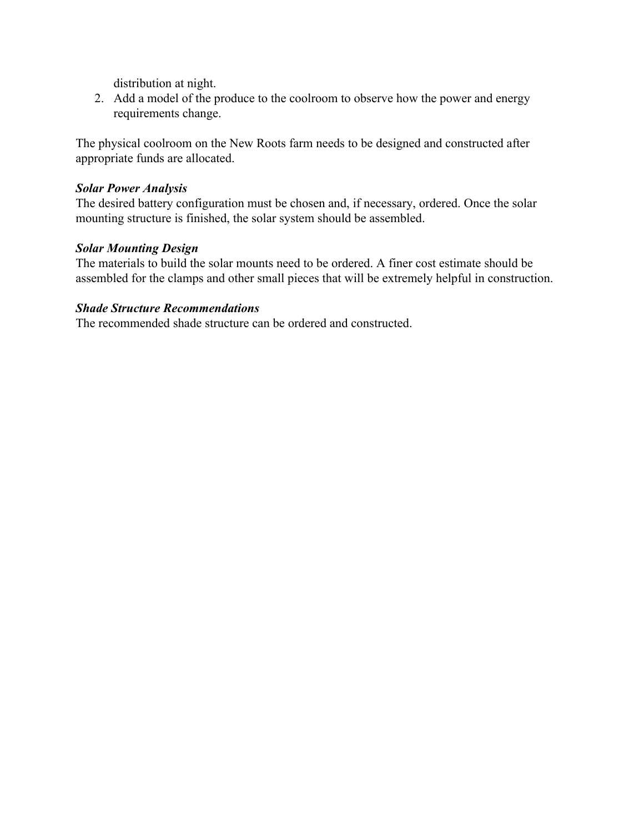distribution at night.

2. Add a model of the produce to the coolroom to observe how the power and energy requirements change.

The physical coolroom on the New Roots farm needs to be designed and constructed after appropriate funds are allocated.

#### *Solar Power Analysis*

The desired battery configuration must be chosen and, if necessary, ordered. Once the solar mounting structure is finished, the solar system should be assembled.

#### *Solar Mounting Design*

The materials to build the solar mounts need to be ordered. A finer cost estimate should be assembled for the clamps and other small pieces that will be extremely helpful in construction.

#### *Shade Structure Recommendations*

The recommended shade structure can be ordered and constructed.